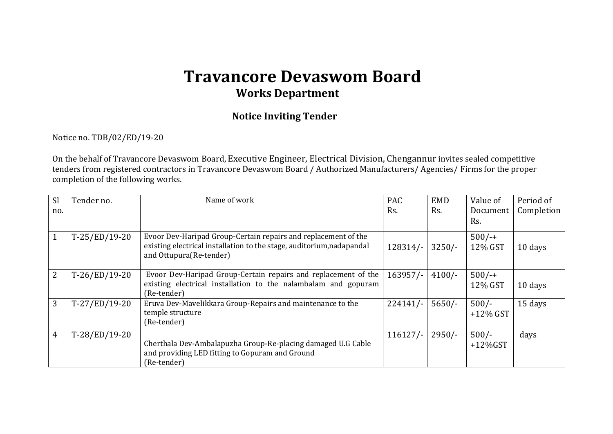# **Travancore Devaswom Board Works Department**

### **Notice Inviting Tender**

#### Notice no. TDB/02/ED/19-20

On the behalf of Travancore Devaswom Board, Executive Engineer, Electrical Division, Chengannur invites sealed competitive tenders from registered contractors in Travancore Devaswom Board / Authorized Manufacturers/ Agencies/ Firms for the proper completion of the following works.

| <b>Sl</b><br>no. | Tender no.      | Name of work                                                                                                                                                       | <b>PAC</b><br>Rs. | <b>EMD</b><br>Rs. | Value of<br>Document<br>Rs. | Period of<br>Completion |
|------------------|-----------------|--------------------------------------------------------------------------------------------------------------------------------------------------------------------|-------------------|-------------------|-----------------------------|-------------------------|
| $\mathbf{1}$     | $T-25/ED/19-20$ | Evoor Dev-Haripad Group-Certain repairs and replacement of the<br>existing electrical installation to the stage, auditorium, nadapandal<br>and Ottupura(Re-tender) | $128314/-$        | $3250/-$          | $500/-$<br>12% GST          | 10 days                 |
| 2                | $T-26/ED/19-20$ | Evoor Dev-Haripad Group-Certain repairs and replacement of the<br>existing electrical installation to the nalambalam and gopuram<br>(Re-tender)                    | $163957/-$        | $4100/-$          | $500/-$<br>12% GST          | 10 days                 |
| 3                | $T-27/ED/19-20$ | Eruva Dev-Mavelikkara Group-Repairs and maintenance to the<br>temple structure<br>(Re-tender)                                                                      | $224141/-$        | $5650/-$          | $500/-$<br>$+12\%$ GST      | 15 days                 |
| $\overline{4}$   | $T-28/ED/19-20$ | Cherthala Dev-Ambalapuzha Group-Re-placing damaged U.G Cable<br>and providing LED fitting to Gopuram and Ground<br>(Re-tender)                                     | 116127/           | $2950/-$          | $500/-$<br>$+12\%$ GST      | days                    |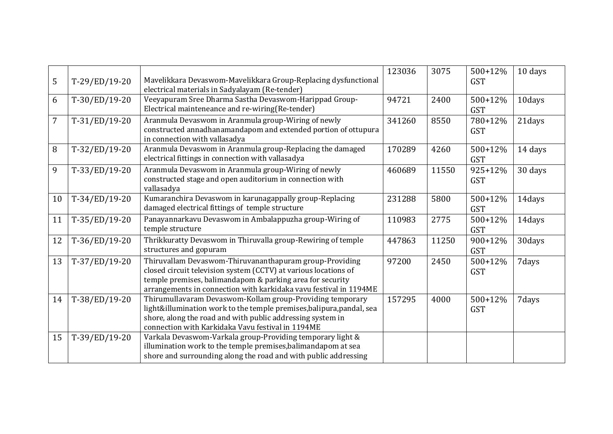| 5              | T-29/ED/19-20   | Mavelikkara Devaswom-Mavelikkara Group-Replacing dysfunctional<br>electrical materials in Sadyalayam (Re-tender)                                                                                                                                             | 123036 | 3075  | 500+12%<br><b>GST</b>     | 10 days |
|----------------|-----------------|--------------------------------------------------------------------------------------------------------------------------------------------------------------------------------------------------------------------------------------------------------------|--------|-------|---------------------------|---------|
| 6              | T-30/ED/19-20   | Veeyapuram Sree Dharma Sastha Devaswom-Harippad Group-<br>Electrical mainteneance and re-wiring(Re-tender)                                                                                                                                                   | 94721  | 2400  | 500+12%<br><b>GST</b>     | 10days  |
| $\overline{7}$ | $T-31/ED/19-20$ | Aranmula Devaswom in Aranmula group-Wiring of newly<br>constructed annadhanamandapom and extended portion of ottupura<br>in connection with vallasadya                                                                                                       | 341260 | 8550  | 780+12%<br><b>GST</b>     | 21days  |
| 8              | T-32/ED/19-20   | Aranmula Devaswom in Aranmula group-Replacing the damaged<br>electrical fittings in connection with vallasadya                                                                                                                                               | 170289 | 4260  | 500+12%<br><b>GST</b>     | 14 days |
| 9              | $T-33/ED/19-20$ | Aranmula Devaswom in Aranmula group-Wiring of newly<br>constructed stage and open auditorium in connection with<br>vallasadya                                                                                                                                | 460689 | 11550 | $925 + 12%$<br><b>GST</b> | 30 days |
| 10             | T-34/ED/19-20   | Kumaranchira Devaswom in karunagappally group-Replacing<br>damaged electrical fittings of temple structure                                                                                                                                                   | 231288 | 5800  | $500+12%$<br><b>GST</b>   | 14days  |
| 11             | $T-35/ED/19-20$ | Panayannarkavu Devaswom in Ambalappuzha group-Wiring of<br>temple structure                                                                                                                                                                                  | 110983 | 2775  | 500+12%<br><b>GST</b>     | 14days  |
| 12             | T-36/ED/19-20   | Thrikkuratty Devaswom in Thiruvalla group-Rewiring of temple<br>structures and gopuram                                                                                                                                                                       | 447863 | 11250 | 900+12%<br><b>GST</b>     | 30days  |
| 13             | T-37/ED/19-20   | Thiruvallam Devaswom-Thiruvananthapuram group-Providing<br>closed circuit television system (CCTV) at various locations of<br>temple premises, balimandapom & parking area for security<br>arrangements in connection with karkidaka vavu festival in 1194ME | 97200  | 2450  | 500+12%<br><b>GST</b>     | 7days   |
| 14             | T-38/ED/19-20   | Thirumullavaram Devaswom-Kollam group-Providing temporary<br>light&illumination work to the temple premises, balipura, pandal, sea<br>shore, along the road and with public addressing system in<br>connection with Karkidaka Vavu festival in 1194ME        | 157295 | 4000  | 500+12%<br><b>GST</b>     | 7days   |
| 15             | T-39/ED/19-20   | Varkala Devaswom-Varkala group-Providing temporary light &<br>illumination work to the temple premises, balimandapom at sea<br>shore and surrounding along the road and with public addressing                                                               |        |       |                           |         |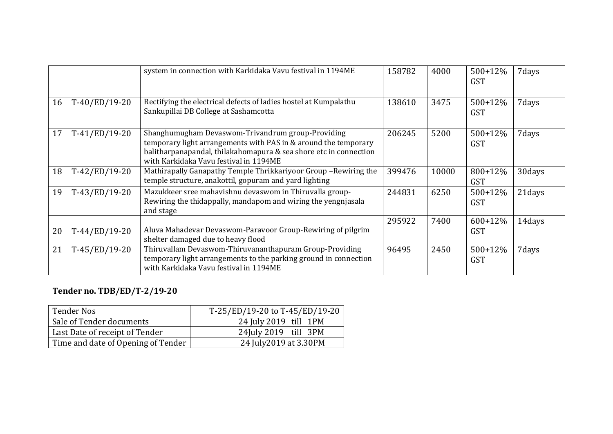|    |                 | system in connection with Karkidaka Vavu festival in 1194ME                                                                                                                                                                         | 158782 | 4000  | $500+12%$<br><b>GST</b> | 7 days |
|----|-----------------|-------------------------------------------------------------------------------------------------------------------------------------------------------------------------------------------------------------------------------------|--------|-------|-------------------------|--------|
| 16 | T-40/ED/19-20   | Rectifying the electrical defects of ladies hostel at Kumpalathu<br>Sankupillai DB College at Sashamcotta                                                                                                                           | 138610 | 3475  | $500+12%$<br><b>GST</b> | 7days  |
| 17 | $T-41/ED/19-20$ | Shanghumugham Devaswom-Trivandrum group-Providing<br>temporary light arrangements with PAS in & around the temporary<br>balitharpanapandal, thilakahomapura & sea shore etc in connection<br>with Karkidaka Vavu festival in 1194ME | 206245 | 5200  | $500+12%$<br><b>GST</b> | 7days  |
| 18 | T-42/ED/19-20   | Mathirapally Ganapathy Temple Thrikkariyoor Group-Rewiring the<br>temple structure, anakottil, gopuram and yard lighting                                                                                                            | 399476 | 10000 | 800+12%<br><b>GST</b>   | 30days |
| 19 | $T-43/ED/19-20$ | Mazukkeer sree mahavishnu devaswom in Thiruvalla group-<br>Rewiring the thidappally, mandapom and wiring the yengnjasala<br>and stage                                                                                               | 244831 | 6250  | $500+12%$<br><b>GST</b> | 21days |
| 20 | T-44/ED/19-20   | Aluva Mahadevar Devaswom-Paravoor Group-Rewiring of pilgrim<br>shelter damaged due to heavy flood                                                                                                                                   | 295922 | 7400  | $600+12%$<br><b>GST</b> | 14days |
| 21 | $T-45/ED/19-20$ | Thiruvallam Devaswom-Thiruvananthapuram Group-Providing<br>temporary light arrangements to the parking ground in connection<br>with Karkidaka Vavu festival in 1194ME                                                               | 96495  | 2450  | $500+12%$<br><b>GST</b> | 7days  |

## **Tender no. TDB/ED/T-2/19-20**

| <b>Tender Nos</b>                  | T-25/ED/19-20 to T-45/ED/19-20 |  |  |  |  |
|------------------------------------|--------------------------------|--|--|--|--|
| Sale of Tender documents           | 24 July 2019 till 1PM          |  |  |  |  |
| Last Date of receipt of Tender     | 24 July 2019 till 3PM          |  |  |  |  |
| Time and date of Opening of Tender | 24 July 2019 at 3.30 PM        |  |  |  |  |